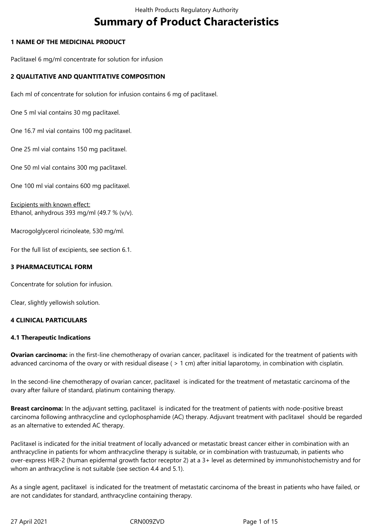# **Summary of Product Characteristics**

# **1 NAME OF THE MEDICINAL PRODUCT**

Paclitaxel 6 mg/ml concentrate for solution for infusion

# **2 QUALITATIVE AND QUANTITATIVE COMPOSITION**

Each ml of concentrate for solution for infusion contains 6 mg of paclitaxel.

One 5 ml vial contains 30 mg paclitaxel.

One 16.7 ml vial contains 100 mg paclitaxel.

One 25 ml vial contains 150 mg paclitaxel.

One 50 ml vial contains 300 mg paclitaxel.

One 100 ml vial contains 600 mg paclitaxel.

Excipients with known effect: Ethanol, anhydrous 393 mg/ml (49.7 % (v/v).

Macrogolglycerol ricinoleate, 530 mg/ml.

For the full list of excipients, see section 6.1.

## **3 PHARMACEUTICAL FORM**

Concentrate for solution for infusion.

Clear, slightly yellowish solution.

## **4 CLINICAL PARTICULARS**

## **4.1 Therapeutic Indications**

**Ovarian carcinoma:** in the first-line chemotherapy of ovarian cancer, paclitaxel is indicated for the treatment of patients with advanced carcinoma of the ovary or with residual disease ( > 1 cm) after initial laparotomy, in combination with cisplatin.

In the second-line chemotherapy of ovarian cancer, paclitaxel is indicated for the treatment of metastatic carcinoma of the ovary after failure of standard, platinum containing therapy.

**Breast carcinoma:** In the adjuvant setting, paclitaxel is indicated for the treatment of patients with node-positive breast carcinoma following anthracycline and cyclophosphamide (AC) therapy. Adjuvant treatment with paclitaxel should be regarded as an alternative to extended AC therapy.

Paclitaxel is indicated for the initial treatment of locally advanced or metastatic breast cancer either in combination with an anthracycline in patients for whom anthracycline therapy is suitable, or in combination with trastuzumab, in patients who over-express HER-2 (human epidermal growth factor receptor 2) at a 3+ level as determined by immunohistochemistry and for whom an anthracycline is not suitable (see section 4.4 and 5.1).

As a single agent, paclitaxel is indicated for the treatment of metastatic carcinoma of the breast in patients who have failed, or are not candidates for standard, anthracycline containing therapy.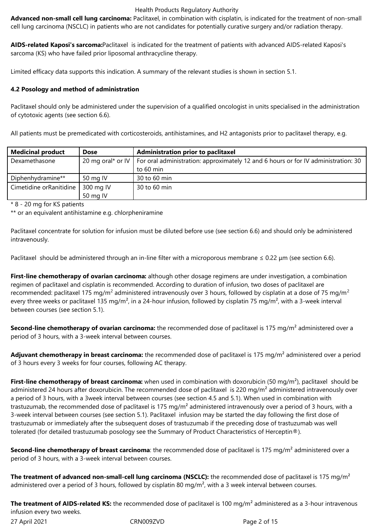**Advanced non-small cell lung carcinoma:** Paclitaxel, in combination with cisplatin, is indicated for the treatment of non-small cell lung carcinoma (NSCLC) in patients who are not candidates for potentially curative surgery and/or radiation therapy.

**AIDS-related Kaposi's sarcoma:**Paclitaxel is indicated for the treatment of patients with advanced AIDS-related Kaposi's sarcoma (KS) who have failed prior liposomal anthracycline therapy.

Limited efficacy data supports this indication. A summary of the relevant studies is shown in section 5.1.

# **4.2 Posology and method of administration**

Paclitaxel should only be administered under the supervision of a qualified oncologist in units specialised in the administration of cytotoxic agents (see section 6.6).

All patients must be premedicated with corticosteroids, antihistamines, and H2 antagonists prior to paclitaxel therapy, e.g.

| <b>Medicinal product</b> | <b>Dose</b> | <b>Administration prior to paclitaxel</b>                                                              |
|--------------------------|-------------|--------------------------------------------------------------------------------------------------------|
| Dexamethasone            |             | 20 mg oral* or IV   For oral administration: approximately 12 and 6 hours or for IV administration: 30 |
|                          |             | to 60 min                                                                                              |
| Diphenhydramine**        | 50 mg IV    | 30 to 60 min                                                                                           |
| Cimetidine orRanitidine  | 300 mg IV   | 30 to 60 min                                                                                           |
|                          | 50 mg IV    |                                                                                                        |

\* 8 - 20 mg for KS patients

\*\* or an equivalent antihistamine e.g. chlorpheniramine

Paclitaxel concentrate for solution for infusion must be diluted before use (see section 6.6) and should only be administered intravenously.

Paclitaxel should be administered through an in-line filter with a microporous membrane  $\leq 0.22$  µm (see section 6.6).

**First-line chemotherapy of ovarian carcinoma:** although other dosage regimens are under investigation, a combination regimen of paclitaxel and cisplatin is recommended. According to duration of infusion, two doses of paclitaxel are recommended: paclitaxel 175 mg/m<sup>2</sup> administered intravenously over 3 hours, followed by cisplatin at a dose of 75 mg/m<sup>2</sup> every three weeks or paclitaxel 135 mg/m<sup>2</sup>, in a 24-hour infusion, followed by cisplatin 75 mg/m<sup>2</sup>, with a 3-week interval between courses (see section 5.1).

**Second-line chemotherapy of ovarian carcinoma:** the recommended dose of paclitaxel is 175 mg/m<sup>2</sup> administered over a period of 3 hours, with a 3-week interval between courses.

Adjuvant chemotherapy in breast carcinoma: the recommended dose of paclitaxel is 175 mg/m<sup>2</sup> administered over a period of 3 hours every 3 weeks for four courses, following AC therapy.

**First-line chemotherapy of breast carcinoma:** when used in combination with doxorubicin (50 mg/m<sup>2</sup>), paclitaxel should be administered 24 hours after doxorubicin. The recommended dose of paclitaxel is 220 mg/m<sup>2</sup> administered intravenously over a period of 3 hours, with a 3week interval between courses (see section 4.5 and 5.1). When used in combination with trastuzumab, the recommended dose of paclitaxel is 175 mg/m<sup>2</sup> administered intravenously over a period of 3 hours, with a 3-week interval between courses (see section 5.1). Paclitaxel infusion may be started the day following the first dose of trastuzumab or immediately after the subsequent doses of trastuzumab if the preceding dose of trastuzumab was well tolerated (for detailed trastuzumab posology see the Summary of Product Characteristics of Herceptin®).

**Second-line chemotherapy of breast carcinoma**: the recommended dose of paclitaxel is 175 mg/m<sup>2</sup> administered over a period of 3 hours, with a 3-week interval between courses.

**The treatment of advanced non-small-cell lung carcinoma (NSCLC):** the recommended dose of paclitaxel is 175 mg/m² administered over a period of 3 hours, followed by cisplatin 80 mg/m<sup>2</sup>, with a 3 week interval between courses.

**The treatment of AIDS-related KS:** the recommended dose of paclitaxel is 100 mg/m² administered as a 3-hour intravenous infusion every two weeks.

27 April 2021 CRN009ZVD Page 2 of 15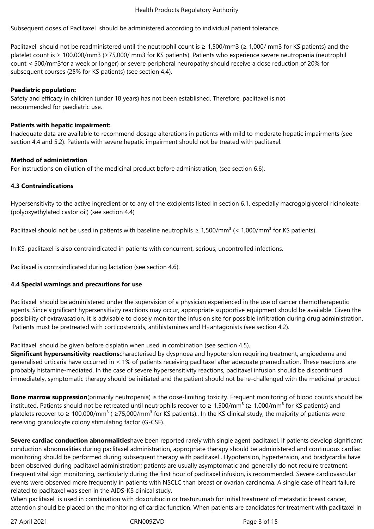Subsequent doses of Paclitaxel should be administered according to individual patient tolerance.

Paclitaxel should not be readministered until the neutrophil count is  $\geq 1,500/\text{mm}$  ( $\geq 1,000/\text{mm}$ 3 for KS patients) and the platelet count is ≥ 100,000/mm3 (≥75,000/ mm3 for KS patients). Patients who experience severe neutropenia (neutrophil count < 500/mm3for a week or longer) or severe peripheral neuropathy should receive a dose reduction of 20% for subsequent courses (25% for KS patients) (see section 4.4).

## **Paediatric population:**

Safety and efficacy in children (under 18 years) has not been established. Therefore, paclitaxel is not recommended for paediatric use.

## **Patients with hepatic impairment:**

Inadequate data are available to recommend dosage alterations in patients with mild to moderate hepatic impairments (see section 4.4 and 5.2). Patients with severe hepatic impairment should not be treated with paclitaxel.

## **Method of administration**

For instructions on dilution of the medicinal product before administration, (see section 6.6).

# **4.3 Contraindications**

Hypersensitivity to the active ingredient or to any of the excipients listed in section 6.1, especially macrogolglycerol ricinoleate (polyoxyethylated castor oil) (see section 4.4)

Paclitaxel should not be used in patients with baseline neutrophils  $\geq 1.500/\text{mm}^3$  (< 1,000/mm<sup>3</sup> for KS patients).

In KS, paclitaxel is also contraindicated in patients with concurrent, serious, uncontrolled infections.

Paclitaxel is contraindicated during lactation (see section 4.6).

# **4.4 Special warnings and precautions for use**

Paclitaxel should be administered under the supervision of a physician experienced in the use of cancer chemotherapeutic agents. Since significant hypersensitivity reactions may occur, appropriate supportive equipment should be available. Given the possibility of extravasation, it is advisable to closely monitor the infusion site for possible infiltration during drug administration. Patients must be pretreated with corticosteroids, antihistamines and  $H_2$  antagonists (see section 4.2).

Paclitaxel should be given before cisplatin when used in combination (see section 4.5).

**Significant hypersensitivity reactions**characterised by dyspnoea and hypotension requiring treatment, angioedema and generalised urticaria have occurred in < 1% of patients receiving paclitaxel after adequate premedication. These reactions are probably histamine-mediated. In the case of severe hypersensitivity reactions, paclitaxel infusion should be discontinued immediately, symptomatic therapy should be initiated and the patient should not be re-challenged with the medicinal product.

**Bone marrow suppression**(primarily neutropenia) is the dose-limiting toxicity. Frequent monitoring of blood counts should be instituted. Patients should not be retreated until neutrophils recover to ≥ 1,500/mm<sup>3</sup> (≥ 1,000/mm<sup>3</sup> for KS patients) and platelets recover to  $\geq 100,000/\text{mm}^3$  ( $\geq 75,000/\text{mm}^3$  for KS patients).. In the KS clinical study, the majority of patients were receiving granulocyte colony stimulating factor (G-CSF).

**Severe cardiac conduction abnormalities**have been reported rarely with single agent paclitaxel. If patients develop significant conduction abnormalities during paclitaxel administration, appropriate therapy should be administered and continuous cardiac monitoring should be performed during subsequent therapy with paclitaxel . Hypotension, hypertension, and bradycardia have been observed during paclitaxel administration; patients are usually asymptomatic and generally do not require treatment. Frequent vital sign monitoring, particularly during the first hour of paclitaxel infusion, is recommended. Severe cardiovascular events were observed more frequently in patients with NSCLC than breast or ovarian carcinoma. A single case of heart failure related to paclitaxel was seen in the AIDS-KS clinical study.

When paclitaxel is used in combination with doxorubucin or trastuzumab for initial treatment of metastatic breast cancer, attention should be placed on the monitoring of cardiac function. When patients are candidates for treatment with paclitaxel in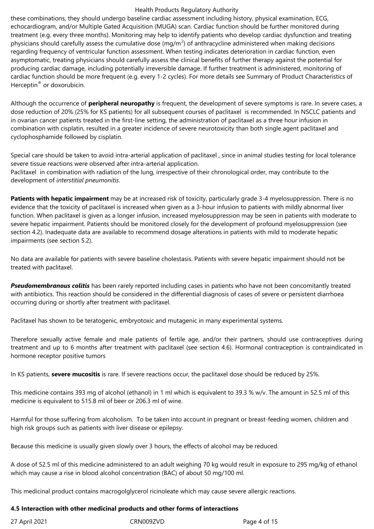these combinations, they should undergo baseline cardiac assessment including history, physical examination, ECG, echocardiogram, and/or Multiple Gated Acquisition (MUGA) scan. Cardiac function should be further monitored during treatment (e.g. every three months). Monitoring may help to identify patients who develop cardiac dysfunction and treating physicians should carefully assess the cumulative dose (mg/m<sup>2</sup>) of anthracycline administered when making decisions regarding frequency of ventricular function assessment. When testing indicates deterioration in cardiac function, even asymptomatic, treating physicians should carefully assess the clinical benefits of further therapy against the potential for producing cardiac damage, including potentially irreversible damage. If further treatment is administered, monitoring of cardiac function should be more frequent (e.g. every 1-2 cycles). For more details see Summary of Product Characteristics of Herceptin® or doxorubicin.

Although the occurrence of **peripheral neuropathy** is frequent, the development of severe symptoms is rare. In severe cases, a dose reduction of 20% (25% for KS patients) for all subsequent courses of paclitaxel is recommended. In NSCLC patients and in ovarian cancer patients treated in the first-line setting, the administration of paclitaxel as a three hour infusion in combination with cisplatin, resulted in a greater incidence of severe neurotoxicity than both single agent paclitaxel and cyclophosphamide followed by cisplatin.

Special care should be taken to avoid intra-arterial application of paclitaxel , since in animal studies testing for local tolerance severe tissue reactions were observed after intra-arterial application. Paclitaxel in combination with radiation of the lung, irrespective of their chronological order, may contribute to the development of *interstitial pneumonitis*.

**Patients with hepatic impairment** may be at increased risk of toxicity, particularly grade 3-4 myelosuppression. There is no evidence that the toxicity of paclitaxel is increased when given as a 3-hour infusion to patients with mildly abnormal liver function. When paclitaxel is given as a longer infusion, increased myelosuppression may be seen in patients with moderate to severe hepatic impairment. Patients should be monitored closely for the development of profound myelosuppression (see section 4.2). Inadequate data are available to recommend dosage alterations in patients with mild to moderate hepatic impairments (see section 5.2).

No data are available for patients with severe baseline cholestasis. Patients with severe hepatic impairment should not be treated with paclitaxel.

*Pseudomembranous colitis* has been rarely reported including cases in patients who have not been concomitantly treated with antibiotics. This reaction should be considered in the differential diagnosis of cases of severe or persistent diarrhoea occurring during or shortly after treatment with paclitaxel.

Paclitaxel has shown to be teratogenic, embryotoxic and mutagenic in many experimental systems.

Therefore sexually active female and male patients of fertile age, and/or their partners, should use contraceptives during treatment and up to 6 months after treatment with paclitaxel (see section 4.6). Hormonal contraception is contraindicated in hormone receptor positive tumors

In KS patients, **severe mucositis** is rare. If severe reactions occur, the paclitaxel dose should be reduced by 25%.

This medicine contains 393 mg of alcohol (ethanol) in 1 ml which is equivalent to 39.3 % w/v. The amount in 52.5 ml of this medicine is equivalent to 515.8 ml of beer or 206.3 ml of wine.

Harmful for those suffering from alcoholism. To be taken into account in pregnant or breast-feeding women, children and high risk groups such as patients with liver disease or epilepsy.

Because this medicine is usually given slowly over 3 hours, the effects of alcohol may be reduced.

A dose of 52.5 ml of this medicine administered to an adult weighing 70 kg would result in exposure to 295 mg/kg of ethanol which may cause a rise in blood alcohol concentration (BAC) of about 50 mg/100 ml.

This medicinal product contains macrogolglycerol ricinoleate which may cause severe allergic reactions.

## **4.5 Interaction with other medicinal products and other forms of interactions**

| 27 April 2021 |  |  |
|---------------|--|--|
|               |  |  |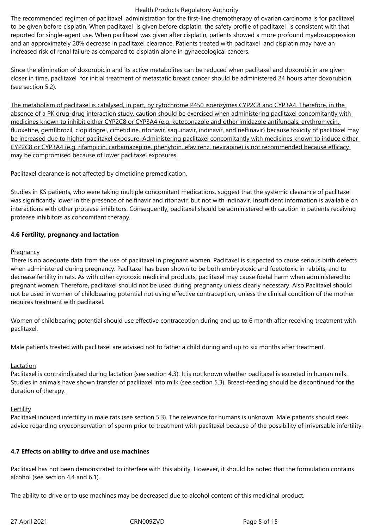The recommended regimen of paclitaxel administration for the first-line chemotherapy of ovarian carcinoma is for paclitaxel to be given before cisplatin. When paclitaxel is given before cisplatin, the safety profile of paclitaxel is consistent with that reported for single-agent use. When paclitaxel was given after cisplatin, patients showed a more profound myelosuppression and an approximately 20% decrease in paclitaxel clearance. Patients treated with paclitaxel and cisplatin may have an increased risk of renal failure as compared to cisplatin alone in gynaecological cancers.

Since the elimination of doxorubicin and its active metabolites can be reduced when paclitaxel and doxorubicin are given closer in time, paclitaxel for initial treatment of metastatic breast cancer should be administered 24 hours after doxorubicin (see section 5.2).

The metabolism of paclitaxel is catalysed, in part, by cytochrome P450 isoenzymes CYP2C8 and CYP3A4. Therefore, in the absence of a PK drug-drug interaction study, caution should be exercised when administering paclitaxel concomitantly with medicines known to inhibit either CYP2C8 or CYP3A4 (e.g. ketoconazole and other imidazole antifungals, erythromycin, fluoxetine, gemfibrozil, clopidogrel, cimetidine, ritonavir, saquinavir, indinavir, and nelfinavir) because toxicity of paclitaxel may be increased due to higher paclitaxel exposure. Administering paclitaxel concomitantly with medicines known to induce either CYP2C8 or CYP3A4 (e.g. rifampicin, carbamazepine, phenytoin, efavirenz, nevirapine) is not recommended because efficacy may be compromised because of lower paclitaxel exposures.

Paclitaxel clearance is not affected by cimetidine premedication.

Studies in KS patients, who were taking multiple concomitant medications, suggest that the systemic clearance of paclitaxel was significantly lower in the presence of nelfinavir and ritonavir, but not with indinavir. Insufficient information is available on interactions with other protease inhibitors. Consequently, paclitaxel should be administered with caution in patients receiving protease inhibitors as concomitant therapy.

## **4.6 Fertility, pregnancy and lactation**

## **Pregnancy**

There is no adequate data from the use of paclitaxel in pregnant women. Paclitaxel is suspected to cause serious birth defects when administered during pregnancy. Paclitaxel has been shown to be both embryotoxic and foetotoxic in rabbits, and to decrease fertility in rats. As with other cytotoxic medicinal products, paclitaxel may cause foetal harm when administered to pregnant women. Therefore, paclitaxel should not be used during pregnancy unless clearly necessary. Also Paclitaxel should not be used in women of childbearing potential not using effective contraception, unless the clinical condition of the mother requires treatment with paclitaxel.

Women of childbearing potential should use effective contraception during and up to 6 month after receiving treatment with paclitaxel.

Male patients treated with paclitaxel are advised not to father a child during and up to six months after treatment.

# Lactation

Paclitaxel is contraindicated during lactation (see section 4.3). It is not known whether paclitaxel is excreted in human milk. Studies in animals have shown transfer of paclitaxel into milk (see section 5.3). Breast-feeding should be discontinued for the duration of therapy.

# **Fertility**

Paclitaxel induced infertility in male rats (see section 5.3). The relevance for humans is unknown. Male patients should seek advice regarding cryoconservation of sperm prior to treatment with paclitaxel because of the possibility of irriversable infertility.

# **4.7 Effects on ability to drive and use machines**

Paclitaxel has not been demonstrated to interfere with this ability. However, it should be noted that the formulation contains alcohol (see section 4.4 and 6.1).

The ability to drive or to use machines may be decreased due to alcohol content of this medicinal product.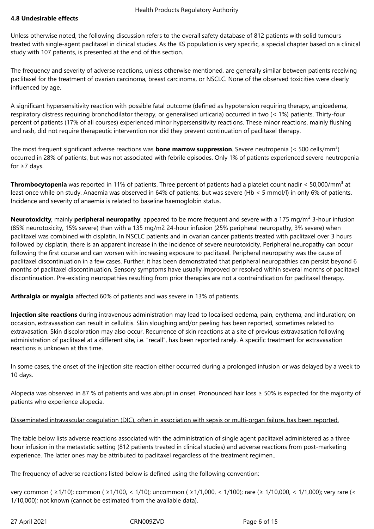## **4.8 Undesirable effects**

Unless otherwise noted, the following discussion refers to the overall safety database of 812 patients with solid tumours treated with single-agent paclitaxel in clinical studies. As the KS population is very specific, a special chapter based on a clinical study with 107 patients, is presented at the end of this section.

The frequency and severity of adverse reactions, unless otherwise mentioned, are generally similar between patients receiving paclitaxel for the treatment of ovarian carcinoma, breast carcinoma, or NSCLC. None of the observed toxicities were clearly influenced by age.

A significant hypersensitivity reaction with possible fatal outcome (defined as hypotension requiring therapy, angioedema, respiratory distress requiring bronchodilator therapy, or generalised urticaria) occurred in two (< 1%) patients. Thirty-four percent of patients (17% of all courses) experienced minor hypersensitivity reactions. These minor reactions, mainly flushing and rash, did not require therapeutic intervention nor did they prevent continuation of paclitaxel therapy.

The most frequent significant adverse reactions was **bone marrow suppression**. Severe neutropenia (< 500 cells/mm<sup>3</sup>) occurred in 28% of patients, but was not associated with febrile episodes. Only 1% of patients experienced severe neutropenia for  $\geq 7$  days.

**Thrombocytopenia** was reported in 11% of patients. Three percent of patients had a platelet count nadir < 50,000/mm<sup>3</sup> at least once while on study. Anaemia was observed in 64% of patients, but was severe (Hb < 5 mmol/l) in only 6% of patients. Incidence and severity of anaemia is related to baseline haemoglobin status.

**Neurotoxicity**, mainly **peripheral neuropathy**, appeared to be more frequent and severe with a 175 mg/m<sup>2</sup> 3-hour infusion (85% neurotoxicity, 15% severe) than with a 135 mg/m2 24-hour infusion (25% peripheral neuropathy, 3% severe) when paclitaxel was combined with cisplatin. In NSCLC patients and in ovarian cancer patients treated with paclitaxel over 3 hours followed by cisplatin, there is an apparent increase in the incidence of severe neurotoxicity. Peripheral neuropathy can occur following the first course and can worsen with increasing exposure to paclitaxel. Peripheral neuropathy was the cause of paclitaxel discontinuation in a few cases. Further, it has been demonstrated that peripheral neuropathies can persist beyond 6 months of paclitaxel discontinuation. Sensory symptoms have usually improved or resolved within several months of paclitaxel discontinuation. Pre-existing neuropathies resulting from prior therapies are not a contraindication for paclitaxel therapy.

**Arthralgia or myalgia** affected 60% of patients and was severe in 13% of patients.

**Injection site reactions** during intravenous administration may lead to localised oedema, pain, erythema, and induration; on occasion, extravasation can result in cellulitis. Skin sloughing and/or peeling has been reported, sometimes related to extravasation. Skin discoloration may also occur. Recurrence of skin reactions at a site of previous extravasation following administration of paclitaxel at a different site, i.e. "recall", has been reported rarely. A specific treatment for extravasation reactions is unknown at this time.

In some cases, the onset of the injection site reaction either occurred during a prolonged infusion or was delayed by a week to 10 days.

Alopecia was observed in 87 % of patients and was abrupt in onset. Pronounced hair loss ≥ 50% is expected for the majority of patients who experience alopecia.

# Disseminated intravascular coagulation (DIC), often in association with sepsis or multi-organ failure, has been reported.

The table below lists adverse reactions associated with the administration of single agent paclitaxel administered as a three hour infusion in the metastatic setting (812 patients treated in clinical studies) and adverse reactions from post-marketing experience. The latter ones may be attributed to paclitaxel regardless of the treatment regimen..

The frequency of adverse reactions listed below is defined using the following convention:

very common ( ≥1/10); common ( ≥1/100, < 1/10); uncommon ( ≥1/1,000, < 1/100); rare (≥ 1/10,000, < 1/1,000); very rare (< 1/10,000); not known (cannot be estimated from the available data).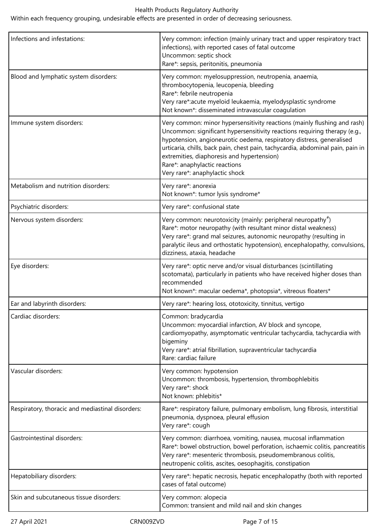Within each frequency grouping, undesirable effects are presented in order of decreasing seriousness.

| Infections and infestations:                     | Very common: infection (mainly urinary tract and upper respiratory tract<br>infections), with reported cases of fatal outcome<br>Uncommon: septic shock<br>Rare*: sepsis, peritonitis, pneumonia                                                                                                                                                                                                                                 |
|--------------------------------------------------|----------------------------------------------------------------------------------------------------------------------------------------------------------------------------------------------------------------------------------------------------------------------------------------------------------------------------------------------------------------------------------------------------------------------------------|
| Blood and lymphatic system disorders:            | Very common: myelosuppression, neutropenia, anaemia,<br>thrombocytopenia, leucopenia, bleeding<br>Rare*: febrile neutropenia<br>Very rare*: acute myeloid leukaemia, myelodysplastic syndrome<br>Not known*: disseminated intravascular coagulation                                                                                                                                                                              |
| Immune system disorders:                         | Very common: minor hypersensitivity reactions (mainly flushing and rash)<br>Uncommon: significant hypersensitivity reactions requiring therapy (e.g.,<br>hypotension, angioneurotic oedema, respiratory distress, generalised<br>urticaria, chills, back pain, chest pain, tachycardia, abdominal pain, pain in<br>extremities, diaphoresis and hypertension)<br>Rare*: anaphylactic reactions<br>Very rare*: anaphylactic shock |
| Metabolism and nutrition disorders:              | Very rare*: anorexia<br>Not known*: tumor lysis syndrome*                                                                                                                                                                                                                                                                                                                                                                        |
| Psychiatric disorders:                           | Very rare*: confusional state                                                                                                                                                                                                                                                                                                                                                                                                    |
| Nervous system disorders:                        | Very common: neurotoxicity (mainly: peripheral neuropathy <sup>#</sup> )<br>Rare*: motor neuropathy (with resultant minor distal weakness)<br>Very rare*: grand mal seizures, autonomic neuropathy (resulting in<br>paralytic ileus and orthostatic hypotension), encephalopathy, convulsions,<br>dizziness, ataxia, headache                                                                                                    |
| Eye disorders:                                   | Very rare*: optic nerve and/or visual disturbances (scintillating<br>scotomata), particularly in patients who have received higher doses than<br>recommended<br>Not known*: macular oedema*, photopsia*, vitreous floaters*                                                                                                                                                                                                      |
| Ear and labyrinth disorders:                     | Very rare*: hearing loss, ototoxicity, tinnitus, vertigo                                                                                                                                                                                                                                                                                                                                                                         |
| Cardiac disorders:                               | Common: bradycardia<br>Uncommon: myocardial infarction, AV block and syncope,<br>cardiomyopathy, asymptomatic ventricular tachycardia, tachycardia with<br>bigeminy<br>Very rare*: atrial fibrillation, supraventricular tachycardia<br>Rare: cardiac failure                                                                                                                                                                    |
| Vascular disorders:                              | Very common: hypotension<br>Uncommon: thrombosis, hypertension, thrombophlebitis<br>Very rare*: shock<br>Not known: phlebitis*                                                                                                                                                                                                                                                                                                   |
| Respiratory, thoracic and mediastinal disorders: | Rare*: respiratory failure, pulmonary embolism, lung fibrosis, interstitial<br>pneumonia, dyspnoea, pleural effusion<br>Very rare*: cough                                                                                                                                                                                                                                                                                        |
| <b>Gastrointestinal disorders:</b>               | Very common: diarrhoea, vomiting, nausea, mucosal inflammation<br>Rare*: bowel obstruction, bowel perforation, ischaemic colitis, pancreatitis<br>Very rare*: mesenteric thrombosis, pseudomembranous colitis,<br>neutropenic colitis, ascites, oesophagitis, constipation                                                                                                                                                       |
| Hepatobiliary disorders:                         | Very rare*: hepatic necrosis, hepatic encephalopathy (both with reported<br>cases of fatal outcome)                                                                                                                                                                                                                                                                                                                              |
| Skin and subcutaneous tissue disorders:          | Very common: alopecia<br>Common: transient and mild nail and skin changes                                                                                                                                                                                                                                                                                                                                                        |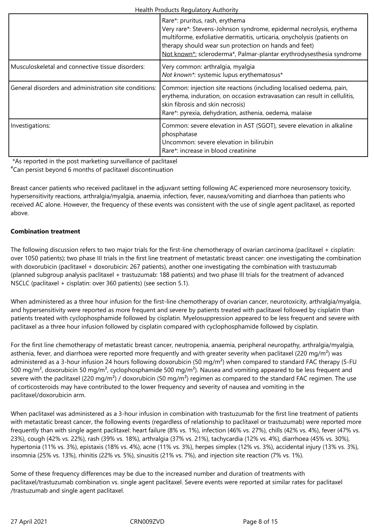|                                                       | Rare*: pruritus, rash, erythema<br>Very rare*: Stevens-Johnson syndrome, epidermal necrolysis, erythema<br>multiforme, exfoliative dermatitis, urticaria, onycholysis (patients on<br>therapy should wear sun protection on hands and feet)<br>Not known*: scleroderma*, Palmar-plantar erythrodysesthesia syndrome |
|-------------------------------------------------------|---------------------------------------------------------------------------------------------------------------------------------------------------------------------------------------------------------------------------------------------------------------------------------------------------------------------|
| Musculoskeletal and connective tissue disorders:      | Very common: arthralgia, myalgia<br>Not known*: systemic lupus erythematosus*                                                                                                                                                                                                                                       |
| General disorders and administration site conditions: | Common: injection site reactions (including localised oedema, pain,<br>erythema, induration, on occasion extravasation can result in cellulitis,<br>skin fibrosis and skin necrosis)<br>Rare*: pyrexia, dehydration, asthenia, oedema, malaise                                                                      |
| Investigations:                                       | Common: severe elevation in AST (SGOT), severe elevation in alkaline<br>phosphatase<br>Uncommon: severe elevation in bilirubin<br>Rare*: increase in blood creatinine                                                                                                                                               |

\*As reported in the post marketing surveillance of paclitaxel

#Can persist beyond 6 months of paclitaxel discontinuation

Breast cancer patients who received paclitaxel in the adjuvant setting following AC experienced more neurosensory toxicity, hypersensitivity reactions, arthralgia/myalgia, anaemia, infection, fever, nausea/vomiting and diarrhoea than patients who received AC alone. However, the frequency of these events was consistent with the use of single agent paclitaxel, as reported above.

# **Combination treatment**

The following discussion refers to two major trials for the first-line chemotherapy of ovarian carcinoma (paclitaxel + cisplatin: over 1050 patients); two phase III trials in the first line treatment of metastatic breast cancer: one investigating the combination with doxorubicin (paclitaxel + doxorubicin: 267 patients), another one investigating the combination with trastuzumab (planned subgroup analysis paclitaxel + trastuzumab: 188 patients) and two phase III trials for the treatment of advanced NSCLC (paclitaxel + cisplatin: over 360 patients) (see section 5.1).

When administered as a three hour infusion for the first-line chemotherapy of ovarian cancer, neurotoxicity, arthralgia/myalgia, and hypersensitivity were reported as more frequent and severe by patients treated with paclitaxel followed by cisplatin than patients treated with cyclophosphamide followed by cisplatin. Myelosuppression appeared to be less frequent and severe with paclitaxel as a three hour infusion followed by cisplatin compared with cyclophosphamide followed by cisplatin.

For the first line chemotherapy of metastatic breast cancer, neutropenia, anaemia, peripheral neuropathy, arthralgia/myalgia, asthenia, fever, and diarrhoea were reported more frequently and with greater severity when paclitaxel (220 mg/m<sup>2</sup>) was administered as a 3-hour infusion 24 hours following doxorubicin (50 mg/m<sup>2</sup>) when compared to standard FAC therapy (5-FU 500 mg/m<sup>2</sup>, doxorubicin 50 mg/m<sup>2</sup>, cyclophosphamide 500 mg/m<sup>2</sup>). Nausea and vomiting appeared to be less frequent and severe with the paclitaxel (220 mg/m<sup>2</sup>) / doxorubicin (50 mg/m<sup>2</sup>) regimen as compared to the standard FAC regimen. The use of corticosteroids may have contributed to the lower frequency and severity of nausea and vomiting in the paclitaxel/doxorubicin arm.

When paclitaxel was administered as a 3-hour infusion in combination with trastuzumab for the first line treatment of patients with metastatic breast cancer, the following events (regardless of relationship to paclitaxel or trastuzumab) were reported more frequently than with single agent paclitaxel: heart failure (8% vs. 1%), infection (46% vs. 27%), chills (42% vs. 4%), fever (47% vs. 23%), cough (42% vs. 22%), rash (39% vs. 18%), arthralgia (37% vs. 21%), tachycardia (12% vs. 4%), diarrhoea (45% vs. 30%), hypertonia (11% vs. 3%), epistaxis (18% vs. 4%), acne (11% vs. 3%), herpes simplex (12% vs. 3%), accidental injury (13% vs. 3%), insomnia (25% vs. 13%), rhinitis (22% vs. 5%), sinusitis (21% vs. 7%), and injection site reaction (7% vs. 1%).

Some of these frequency differences may be due to the increased number and duration of treatments with paclitaxel/trastuzumab combination vs. single agent paclitaxel. Severe events were reported at similar rates for paclitaxel /trastuzumab and single agent paclitaxel.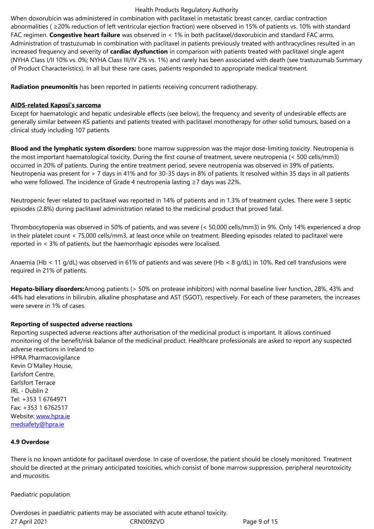FAC regimen. **Congestive heart failure** was observed in < 1% in both paclitaxel/doxorubicin and standard FAC arms. Administration of trastuzumab in combination with paclitaxel in patients previously treated with anthracyclines resulted in an increased frequency and severity of **cardiac dysfunction** in comparison with patients treated with paclitaxel single agent (NYHA Class I/II 10% vs. 0%; NYHA Class III/IV 2% vs. 1%) and rarely has been associated with death (see trastuzumab Summary of Product Characteristics). In all but these rare cases, patients responded to appropriate medical treatment.

**Radiation pneumonitis** has been reported in patients receiving concurrent radiotherapy.

## **AIDS-related Kaposi's sarcoma**

Except for haematologic and hepatic undesirable effects (see below), the frequency and severity of undesirable effects are generally similar between KS patients and patients treated with paclitaxel monotherapy for other solid tumours, based on a clinical study including 107 patients.

**Blood and the lymphatic system disorders:** bone marrow suppression was the major dose-limiting toxicity. Neutropenia is the most important haematological toxicity. During the first course of treatment, severe neutropenia (< 500 cells/mm3) occurred in 20% of patients. During the entire treatment period, severe neutropenia was observed in 39% of patients. Neutropenia was present for > 7 days in 41% and for 30-35 days in 8% of patients. It resolved within 35 days in all patients who were followed. The incidence of Grade 4 neutropenia lasting ≥7 days was 22%.

Neutropenic fever related to paclitaxel was reported in 14% of patients and in 1.3% of treatment cycles. There were 3 septic episodes (2.8%) during paclitaxel administration related to the medicinal product that proved fatal.

Thrombocytopenia was observed in 50% of patients, and was severe (< 50,000 cells/mm3) in 9%. Only 14% experienced a drop in their platelet count < 75,000 cells/mm3, at least once while on treatment. Bleeding episodes related to paclitaxel were reported in < 3% of patients, but the haemorrhagic episodes were localised.

Anaemia (Hb < 11 g/dL) was observed in 61% of patients and was severe (Hb < 8 g/dL) in 10%. Red cell transfusions were required in 21% of patients.

**Hepato-biliary disorders:**Among patients (> 50% on protease inhibitors) with normal baseline liver function, 28%, 43% and 44% had elevations in bilirubin, alkaline phosphatase and AST (SGOT), respectively. For each of these parameters, the increases were severe in 1% of cases.

## **Reporting of suspected adverse reactions**

Reporting suspected adverse reactions after authorisation of the medicinal product is important. It allows continued monitoring of the benefit/risk balance of the medicinal product. Healthcare professionals are asked to report any suspected adverse reactions in Ireland to HPRA Pharmacovigilance Kevin O'Malley House, Earlsfort Centre, Earlsfort Terrace IRL - Dublin 2 Tel: +353 1 6764971 Fax: +353 1 6762517 Website: www.hpra.ie medsafety@hpra.ie

## **4.9 Over[dose](http://www.hpra.ie/)**

[There is no known a](mailto:medsafety@hpra.ie)ntidote for paclitaxel overdose. In case of overdose, the patient should be closely monitored. Treatment should be directed at the primary anticipated toxicities, which consist of bone marrow suppression, peripheral neurotoxicity and mucositis.

Paediatric population.

27 April 2021 CRN009ZVD Page 9 of 15 Overdoses in paediatric patients may be associated with acute ethanol toxicity.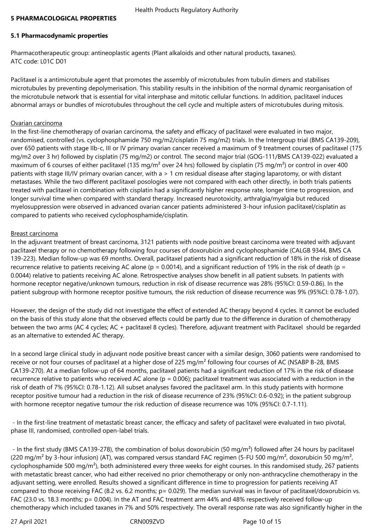## **5 PHARMACOLOGICAL PROPERTIES**

# **5.1 Pharmacodynamic properties**

Pharmacotherapeutic group: antineoplastic agents (Plant alkaloids and other natural products, taxanes). ATC code: L01C D01

Paclitaxel is a antimicrotubule agent that promotes the assembly of microtubules from tubulin dimers and stabilises microtubules by preventing depolymerisation. This stability results in the inhibition of the normal dynamic reorganisation of the microtubule network that is essential for vital interphase and mitotic cellular functions. In addition, paclitaxel induces abnormal arrays or bundles of microtubules throughout the cell cycle and multiple asters of microtubules during mitosis.

## Ovarian carcinoma

In the first-line chemotherapy of ovarian carcinoma, the safety and efficacy of paclitaxel were evaluated in two major, randomised, controlled (vs. cyclophosphamide 750 mg/m2/cisplatin 75 mg/m2) trials. In the Intergroup trial (BMS CA139-209), over 650 patients with stage IIb-c, III or IV primary ovarian cancer received a maximum of 9 treatment courses of paclitaxel (175 mg/m2 over 3 hr) followed by cisplatin (75 mg/m2) or control. The second major trial (GOG-111/BMS CA139-022) evaluated a maximum of 6 courses of either paclitaxel (135 mg/m<sup>2</sup> over 24 hrs) followed by cisplatin (75 mg/m<sup>2</sup>) or control in over 400 patients with stage III/IV primary ovarian cancer, with a > 1 cm residual disease after staging laparotomy, or with distant metastases. While the two different paclitaxel posologies were not compared with each other directly, in both trials patients treated with paclitaxel in combination with cisplatin had a significantly higher response rate, longer time to progression, and longer survival time when compared with standard therapy. Increased neurotoxicity, arthralgia/myalgia but reduced myelosuppression were observed in advanced ovarian cancer patients administered 3-hour infusion paclitaxel/cisplatin as compared to patients who received cyclophosphamide/cisplatin.

## Breast carcinoma

In the adjuvant treatment of breast carcinoma, 3121 patients with node positive breast carcinoma were treated with adjuvant paclitaxel therapy or no chemotherapy following four courses of doxorubicin and cyclophosphamide (CALGB 9344, BMS CA 139-223). Median follow-up was 69 months. Overall, paclitaxel patients had a significant reduction of 18% in the risk of disease recurrence relative to patients receiving AC alone ( $p = 0.0014$ ), and a significant reduction of 19% in the risk of death ( $p =$ 0.0044) relative to patients receiving AC alone. Retrospective analyses show benefit in all patient subsets. In patients with hormone receptor negative/unknown tumours, reduction in risk of disease recurrence was 28% (95%CI: 0.59-0.86). In the patient subgroup with hormone receptor positive tumours, the risk reduction of disease recurrence was 9% (95%CI: 0.78-1.07).

However, the design of the study did not investigate the effect of extended AC therapy beyond 4 cycles. It cannot be excluded on the basis of this study alone that the observed effects could be partly due to the difference in duration of chemotherapy between the two arms (AC 4 cycles; AC + paclitaxel 8 cycles). Therefore, adjuvant treatment with Paclitaxel should be regarded as an alternative to extended AC therapy.

In a second large clinical study in adjuvant node positive breast cancer with a similar design, 3060 patients were randomised to receive or not four courses of paclitaxel at a higher dose of 225 mg/m<sup>2</sup> following four courses of AC (NSABP B-28, BMS CA139-270). At a median follow-up of 64 months, paclitaxel patients had a significant reduction of 17% in the risk of disease recurrence relative to patients who received AC alone ( $p = 0.006$ ); paclitaxel treatment was associated with a reduction in the risk of death of 7% (95%CI: 0.78-1.12). All subset analyses favored the paclitaxel arm. In this study patients with hormone receptor positive tumour had a reduction in the risk of disease recurrence of 23% (95%CI: 0.6-0.92); in the patient subgroup with hormone receptor negative tumour the risk reduction of disease recurrence was 10% (95%CI: 0.7-1.11).

 - In the first-line treatment of metastatic breast cancer, the efficacy and safety of paclitaxel were evaluated in two pivotal, phase III, randomised, controlled open-label trials.

- In the first study (BMS CA139-278), the combination of bolus doxorubicin (50 mg/m<sup>2</sup>) followed after 24 hours by paclitaxel (220 mg/m<sup>2</sup> by 3-hour infusion) (AT), was compared versus standard FAC regimen (5-FU 500 mg/m<sup>2</sup>, doxorubicin 50 mg/m<sup>2</sup>, cyclophosphamide 500 mg/m²), both administered every three weeks for eight courses. In this randomised study, 267 patients with metastatic breast cancer, who had either received no prior chemotherapy or only non-anthracycline chemotherapy in the adjuvant setting, were enrolled. Results showed a significant difference in time to progression for patients receiving AT compared to those receiving FAC (8.2 vs. 6.2 months; p= 0.029). The median survival was in favour of paclitaxel/doxorubicin vs. FAC (23.0 vs. 18.3 months; p= 0.004). In the AT and FAC treatment arm 44% and 48% respectively received follow-up chemotherapy which included taxanes in 7% and 50% respectively. The overall response rate was also significantly higher in the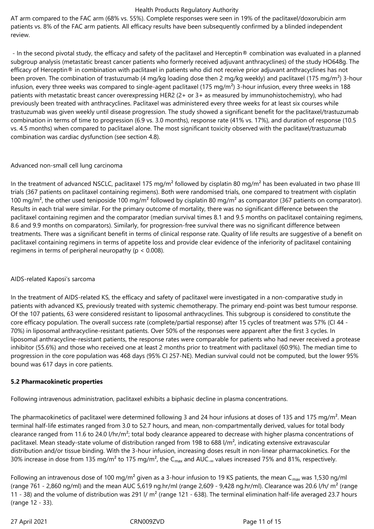AT arm compared to the FAC arm (68% vs. 55%). Complete responses were seen in 19% of the paclitaxel/doxorubicin arm patients vs. 8% of the FAC arm patients. All efficacy results have been subsequently confirmed by a blinded independent review.

 - In the second pivotal study, the efficacy and safety of the paclitaxel and Herceptin® combination was evaluated in a planned subgroup analysis (metastatic breast cancer patients who formerly received adjuvant anthracyclines) of the study HO648g. The efficacy of Herceptin® in combination with paclitaxel in patients who did not receive prior adjuvant anthracyclines has not been proven. The combination of trastuzumab (4 mg/kg loading dose then 2 mg/kg weekly) and paclitaxel (175 mg/m<sup>2</sup>) 3-hour infusion, every three weeks was compared to single-agent paclitaxel (175 mg/m<sup>2</sup>) 3-hour infusion, every three weeks in 188 patients with metastatic breast cancer overexpressing HER2 (2+ or 3+ as measured by immunohistochemistry), who had previously been treated with anthracyclines. Paclitaxel was administered every three weeks for at least six courses while trastuzumab was given weekly until disease progression. The study showed a significant benefit for the paclitaxel/trastuzumab combination in terms of time to progression (6.9 vs. 3.0 months), response rate (41% vs. 17%), and duration of response (10.5 vs. 4.5 months) when compared to paclitaxel alone. The most significant toxicity observed with the paclitaxel/trastuzumab combination was cardiac dysfunction (see section 4.8).

# Advanced non-small cell lung carcinoma

In the treatment of advanced NSCLC, paclitaxel 175 mg/m<sup>2</sup> followed by cisplatin 80 mg/m<sup>2</sup> has been evaluated in two phase III trials (367 patients on paclitaxel containing regimens). Both were randomised trials, one compared to treatment with cisplatin 100 mg/m<sup>2</sup>, the other used teniposide 100 mg/m<sup>2</sup> followed by cisplatin 80 mg/m<sup>2</sup> as comparator (367 patients on comparator). Results in each trial were similar. For the primary outcome of mortality, there was no significant difference between the paclitaxel containing regimen and the comparator (median survival times 8.1 and 9.5 months on paclitaxel containing regimens, 8.6 and 9.9 months on comparators). Similarly, for progression-free survival there was no significant difference between treatments. There was a significant benefit in terms of clinical response rate. Quality of life results are suggestive of a benefit on paclitaxel containing regimens in terms of appetite loss and provide clear evidence of the inferiority of paclitaxel containing regimens in terms of peripheral neuropathy ( $p < 0.008$ ).

# AIDS-related Kaposi's sarcoma

In the treatment of AIDS-related KS, the efficacy and safety of paclitaxel were investigated in a non-comparative study in patients with advanced KS, previously treated with systemic chemotherapy. The primary end-point was best tumour response. Of the 107 patients, 63 were considered resistant to liposomal anthracyclines. This subgroup is considered to constitute the core efficacy population. The overall success rate (complete/partial response) after 15 cycles of treatment was 57% (CI 44 - 70%) in liposomal anthracycline-resistant patients. Over 50% of the responses were apparent after the first 3 cycles. In liposomal anthracycline-resistant patients, the response rates were comparable for patients who had never received a protease inhibitor (55.6%) and those who received one at least 2 months prior to treatment with paclitaxel (60.9%). The median time to progression in the core population was 468 days (95% CI 257-NE). Median survival could not be computed, but the lower 95% bound was 617 days in core patients.

# **5.2 Pharmacokinetic properties**

Following intravenous administration, paclitaxel exhibits a biphasic decline in plasma concentrations.

The pharmacokinetics of paclitaxel were determined following 3 and 24 hour infusions at doses of 135 and 175 mg/m<sup>2</sup>. Mean terminal half-life estimates ranged from 3.0 to 52.7 hours, and mean, non-compartmentally derived, values for total body clearance ranged from 11.6 to 24.0 l/hr/m²; total body clearance appeared to decrease with higher plasma concentrations of paclitaxel. Mean steady-state volume of distribution ranged from 198 to 688 l/m², indicating extensive extravascular distribution and/or tissue binding. With the 3-hour infusion, increasing doses result in non-linear pharmacokinetics. For the 30% increase in dose from 135 mg/m<sup>2</sup> to 175 mg/m<sup>2</sup>, the C<sub>max</sub> and AUC<sub>-∞</sub> values increased 75% and 81%, respectively.

Following an intravenous dose of 100 mg/m<sup>2</sup> given as a 3-hour infusion to 19 KS patients, the mean C<sub>max</sub> was 1,530 ng/ml (range 761 - 2,860 ng/ml) and the mean AUC 5,619 ng.hr/ml (range 2,609 - 9,428 ng.hr/ml). Clearance was 20.6 l/h/ m<sup>2</sup> (range 11 - 38) and the volume of distribution was 291 l/ m<sup>2</sup> (range 121 - 638). The terminal elimination half-life averaged 23.7 hours (range 12 - 33).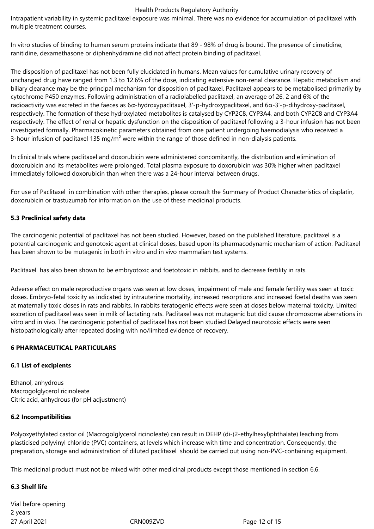Intrapatient variability in systemic paclitaxel exposure was minimal. There was no evidence for accumulation of paclitaxel with multiple treatment courses.

In vitro studies of binding to human serum proteins indicate that 89 - 98% of drug is bound. The presence of cimetidine, ranitidine, dexamethasone or diphenhydramine did not affect protein binding of paclitaxel.

The disposition of paclitaxel has not been fully elucidated in humans. Mean values for cumulative urinary recovery of unchanged drug have ranged from 1.3 to 12.6% of the dose, indicating extensive non-renal clearance. Hepatic metabolism and biliary clearance may be the principal mechanism for disposition of paclitaxel. Paclitaxel appears to be metabolised primarily by cytochrome P450 enzymes. Following administration of a radiolabelled paclitaxel, an average of 26, 2 and 6% of the radioactivity was excreted in the faeces as 6α-hydroxypaclitaxel, 3'-p-hydroxypaclitaxel, and 6α-3'-p-dihydroxy-paclitaxel, respectively. The formation of these hydroxylated metabolites is catalysed by CYP2C8, CYP3A4, and both CYP2C8 and CYP3A4 respectively. The effect of renal or hepatic dysfunction on the disposition of paclitaxel following a 3-hour infusion has not been investigated formally. Pharmacokinetic parameters obtained from one patient undergoing haemodialysis who received a 3-hour infusion of paclitaxel 135 mg/m<sup>2</sup> were within the range of those defined in non-dialysis patients.

In clinical trials where paclitaxel and doxorubicin were administered concomitantly, the distribution and elimination of doxorubicin and its metabolites were prolonged. Total plasma exposure to doxorubicin was 30% higher when paclitaxel immediately followed doxorubicin than when there was a 24-hour interval between drugs.

For use of Paclitaxel in combination with other therapies, please consult the Summary of Product Characteristics of cisplatin, doxorubicin or trastuzumab for information on the use of these medicinal products.

## **5.3 Preclinical safety data**

The carcinogenic potential of paclitaxel has not been studied. However, based on the published literature, paclitaxel is a potential carcinogenic and genotoxic agent at clinical doses, based upon its pharmacodynamic mechanism of action. Paclitaxel has been shown to be mutagenic in both in vitro and in vivo mammalian test systems.

Paclitaxel has also been shown to be embryotoxic and foetotoxic in rabbits, and to decrease fertility in rats.

Adverse effect on male reproductive organs was seen at low doses, impairment of male and female fertility was seen at toxic doses. Embryo-fetal toxicity as indicated by intrauterine mortality, increased resorptions and increased foetal deaths was seen at maternally toxic doses in rats and rabbits. In rabbits teratogenic effects were seen at doses below maternal toxicity. Limited excretion of paclitaxel was seen in milk of lactating rats. Paclitaxel was not mutagenic but did cause chromosome aberrations in vitro and in vivo. The carcinogenic potential of paclitaxel has not been studied Delayed neurotoxic effects were seen histopathologically after repeated dosing with no/limited evidence of recovery.

## **6 PHARMACEUTICAL PARTICULARS**

# **6.1 List of excipients**

Ethanol, anhydrous Macrogolglycerol ricinoleate Citric acid, anhydrous (for pH adjustment)

## **6.2 Incompatibilities**

Polyoxyethylated castor oil (Macrogolglycerol ricinoleate) can result in DEHP (di-(2-ethylhexyl)phthalate) leaching from plasticised polyvinyl chloride (PVC) containers, at levels which increase with time and concentration. Consequently, the preparation, storage and administration of diluted paclitaxel should be carried out using non-PVC-containing equipment.

This medicinal product must not be mixed with other medicinal products except those mentioned in section 6.6.

# **6.3 Shelf life**

27 April 2021 **CRNOO9ZVD** CRNOO9ZVD Page 12 of 15 Vial before opening 2 years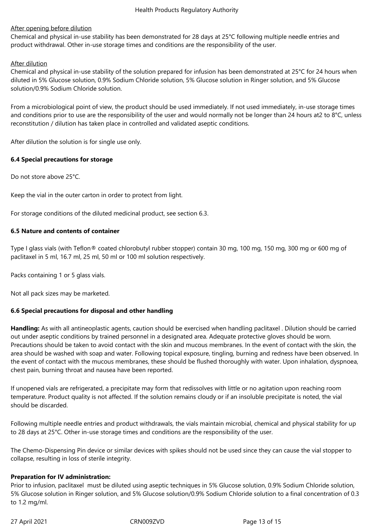## After opening before dilution

Chemical and physical in-use stability has been demonstrated for 28 days at 25°C following multiple needle entries and product withdrawal. Other in-use storage times and conditions are the responsibility of the user.

## After dilution

Chemical and physical in-use stability of the solution prepared for infusion has been demonstrated at 25°C for 24 hours when diluted in 5% Glucose solution, 0.9% Sodium Chloride solution, 5% Glucose solution in Ringer solution, and 5% Glucose solution/0.9% Sodium Chloride solution.

From a microbiological point of view, the product should be used immediately. If not used immediately, in-use storage times and conditions prior to use are the responsibility of the user and would normally not be longer than 24 hours at2 to 8°C, unless reconstitution / dilution has taken place in controlled and validated aseptic conditions.

After dilution the solution is for single use only.

## **6.4 Special precautions for storage**

Do not store above 25°C.

Keep the vial in the outer carton in order to protect from light.

For storage conditions of the diluted medicinal product, see section 6.3.

## **6.5 Nature and contents of container**

Type I glass vials (with Teflon® coated chlorobutyl rubber stopper) contain 30 mg, 100 mg, 150 mg, 300 mg or 600 mg of paclitaxel in 5 ml, 16.7 ml, 25 ml, 50 ml or 100 ml solution respectively.

Packs containing 1 or 5 glass vials.

Not all pack sizes may be marketed.

# **6.6 Special precautions for disposal and other handling**

**Handling:** As with all antineoplastic agents, caution should be exercised when handling paclitaxel . Dilution should be carried out under aseptic conditions by trained personnel in a designated area. Adequate protective gloves should be worn. Precautions should be taken to avoid contact with the skin and mucous membranes. In the event of contact with the skin, the area should be washed with soap and water. Following topical exposure, tingling, burning and redness have been observed. In the event of contact with the mucous membranes, these should be flushed thoroughly with water. Upon inhalation, dyspnoea, chest pain, burning throat and nausea have been reported.

If unopened vials are refrigerated, a precipitate may form that redissolves with little or no agitation upon reaching room temperature. Product quality is not affected. If the solution remains cloudy or if an insoluble precipitate is noted, the vial should be discarded.

Following multiple needle entries and product withdrawals, the vials maintain microbial, chemical and physical stability for up to 28 days at 25°C. Other in-use storage times and conditions are the responsibility of the user.

The Chemo-Dispensing Pin device or similar devices with spikes should not be used since they can cause the vial stopper to collapse, resulting in loss of sterile integrity.

## **Preparation for IV administration:**

Prior to infusion, paclitaxel must be diluted using aseptic techniques in 5% Glucose solution, 0.9% Sodium Chloride solution, 5% Glucose solution in Ringer solution, and 5% Glucose solution/0.9% Sodium Chloride solution to a final concentration of 0.3 to 1.2 mg/ml.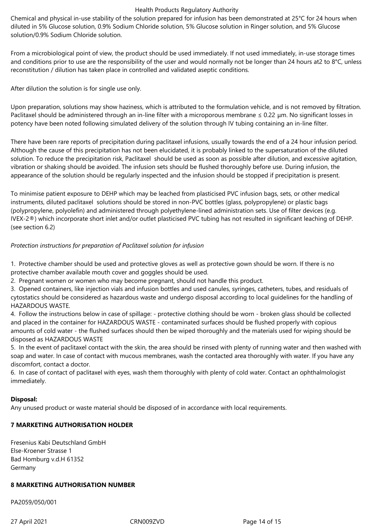Chemical and physical in-use stability of the solution prepared for infusion has been demonstrated at 25°C for 24 hours when diluted in 5% Glucose solution, 0.9% Sodium Chloride solution, 5% Glucose solution in Ringer solution, and 5% Glucose solution/0.9% Sodium Chloride solution.

From a microbiological point of view, the product should be used immediately. If not used immediately, in-use storage times and conditions prior to use are the responsibility of the user and would normally not be longer than 24 hours at2 to 8°C, unless reconstitution / dilution has taken place in controlled and validated aseptic conditions.

After dilution the solution is for single use only.

Upon preparation, solutions may show haziness, which is attributed to the formulation vehicle, and is not removed by filtration. Paclitaxel should be administered through an in-line filter with a microporous membrane ≤ 0.22 μm. No significant losses in potency have been noted following simulated delivery of the solution through IV tubing containing an in-line filter.

There have been rare reports of precipitation during paclitaxel infusions, usually towards the end of a 24 hour infusion period. Although the cause of this precipitation has not been elucidated, it is probably linked to the supersaturation of the diluted solution. To reduce the precipitation risk, Paclitaxel should be used as soon as possible after dilution, and excessive agitation, vibration or shaking should be avoided. The infusion sets should be flushed thoroughly before use. During infusion, the appearance of the solution should be regularly inspected and the infusion should be stopped if precipitation is present.

To minimise patient exposure to DEHP which may be leached from plasticised PVC infusion bags, sets, or other medical instruments, diluted paclitaxel solutions should be stored in non-PVC bottles (glass, polypropylene) or plastic bags (polypropylene, polyolefin) and administered through polyethylene-lined administration sets. Use of filter devices (e.g. IVEX-2®) which incorporate short inlet and/or outlet plasticised PVC tubing has not resulted in significant leaching of DEHP. (see section 6.2)

# *Protection instructions for preparation of Paclitaxel solution for infusion*

1. Protective chamber should be used and protective gloves as well as protective gown should be worn. If there is no protective chamber available mouth cover and goggles should be used.

2. Pregnant women or women who may become pregnant, should not handle this product.

3. Opened containers, like injection vials and infusion bottles and used canules, syringes, catheters, tubes, and residuals of cytostatics should be considered as hazardous waste and undergo disposal according to local guidelines for the handling of HAZARDOUS WASTE.

4. Follow the instructions below in case of spillage: - protective clothing should be worn - broken glass should be collected and placed in the container for HAZARDOUS WASTE - contaminated surfaces should be flushed properly with copious amounts of cold water - the flushed surfaces should then be wiped thoroughly and the materials used for wiping should be disposed as HAZARDOUS WASTE

5. In the event of paclitaxel contact with the skin, the area should be rinsed with plenty of running water and then washed with soap and water. In case of contact with mucous membranes, wash the contacted area thoroughly with water. If you have any discomfort, contact a doctor.

6. In case of contact of paclitaxel with eyes, wash them thoroughly with plenty of cold water. Contact an ophthalmologist immediately.

# **Disposal:**

Any unused product or waste material should be disposed of in accordance with local requirements.

# **7 MARKETING AUTHORISATION HOLDER**

Fresenius Kabi Deutschland GmbH Else-Kroener Strasse 1 Bad Homburg v.d.H 61352 Germany

## **8 MARKETING AUTHORISATION NUMBER**

PA2059/050/001

27 April 2021 **CRNOO9ZVD** CRNOO9ZVD Page 14 of 15